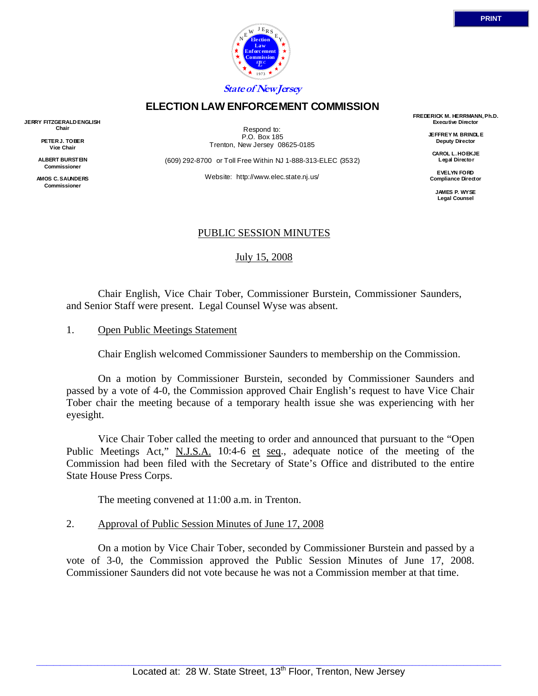

## **ELECTION LAW ENFORCEMENT COMMISSION**

**JERRY FITZGERALD ENGLISH Chair** 

> **PETER J. TOBER Vice Chair**

**ALBERT BURSTEIN Commissioner** 

**AMOS C. SAUNDERS Commissioner** 

Respond to: P.O. Box 185 Trenton, New Jersey 08625-0185

(609) 292-8700 or Toll Free Within NJ 1-888-313-ELEC (3532)

Website: http://www.elec.state.nj.us/

**FREDERICK M. HERRMANN, Ph.D. Executive Director** 

> **JEFFREY M. BRINDLE Deputy Director**

**CAROL L. HOEKJE Legal Director** 

**EVELYN FORD Compliance Director** 

> **JAMES P. WYSE Legal Counsel**

## PUBLIC SESSION MINUTES

July 15, 2008

 Chair English, Vice Chair Tober, Commissioner Burstein, Commissioner Saunders, and Senior Staff were present. Legal Counsel Wyse was absent.

#### 1. Open Public Meetings Statement

Chair English welcomed Commissioner Saunders to membership on the Commission.

 On a motion by Commissioner Burstein, seconded by Commissioner Saunders and passed by a vote of 4-0, the Commission approved Chair English's request to have Vice Chair Tober chair the meeting because of a temporary health issue she was experiencing with her eyesight.

 Vice Chair Tober called the meeting to order and announced that pursuant to the "Open Public Meetings Act," N.J.S.A. 10:4-6 et seq., adequate notice of the meeting of the Commission had been filed with the Secretary of State's Office and distributed to the entire State House Press Corps.

The meeting convened at 11:00 a.m. in Trenton.

#### 2. Approval of Public Session Minutes of June 17, 2008

 On a motion by Vice Chair Tober, seconded by Commissioner Burstein and passed by a vote of 3-0, the Commission approved the Public Session Minutes of June 17, 2008. Commissioner Saunders did not vote because he was not a Commission member at that time.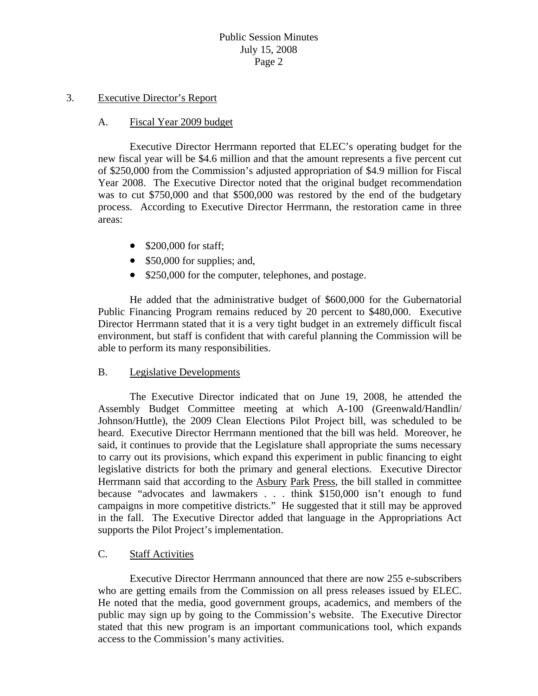#### 3. Executive Director's Report

#### A. Fiscal Year 2009 budget

 Executive Director Herrmann reported that ELEC's operating budget for the new fiscal year will be \$4.6 million and that the amount represents a five percent cut of \$250,000 from the Commission's adjusted appropriation of \$4.9 million for Fiscal Year 2008. The Executive Director noted that the original budget recommendation was to cut \$750,000 and that \$500,000 was restored by the end of the budgetary process. According to Executive Director Herrmann, the restoration came in three areas:

- \$200,000 for staff;
- \$50,000 for supplies; and,
- \$250,000 for the computer, telephones, and postage.

 He added that the administrative budget of \$600,000 for the Gubernatorial Public Financing Program remains reduced by 20 percent to \$480,000. Executive Director Herrmann stated that it is a very tight budget in an extremely difficult fiscal environment, but staff is confident that with careful planning the Commission will be able to perform its many responsibilities.

## B. Legislative Developments

 The Executive Director indicated that on June 19, 2008, he attended the Assembly Budget Committee meeting at which A-100 (Greenwald/Handlin/ Johnson/Huttle), the 2009 Clean Elections Pilot Project bill, was scheduled to be heard. Executive Director Herrmann mentioned that the bill was held. Moreover, he said, it continues to provide that the Legislature shall appropriate the sums necessary to carry out its provisions, which expand this experiment in public financing to eight legislative districts for both the primary and general elections. Executive Director Herrmann said that according to the Asbury Park Press, the bill stalled in committee because "advocates and lawmakers . . . think \$150,000 isn't enough to fund campaigns in more competitive districts." He suggested that it still may be approved in the fall. The Executive Director added that language in the Appropriations Act supports the Pilot Project's implementation.

## C. Staff Activities

 Executive Director Herrmann announced that there are now 255 e-subscribers who are getting emails from the Commission on all press releases issued by ELEC. He noted that the media, good government groups, academics, and members of the public may sign up by going to the Commission's website. The Executive Director stated that this new program is an important communications tool, which expands access to the Commission's many activities.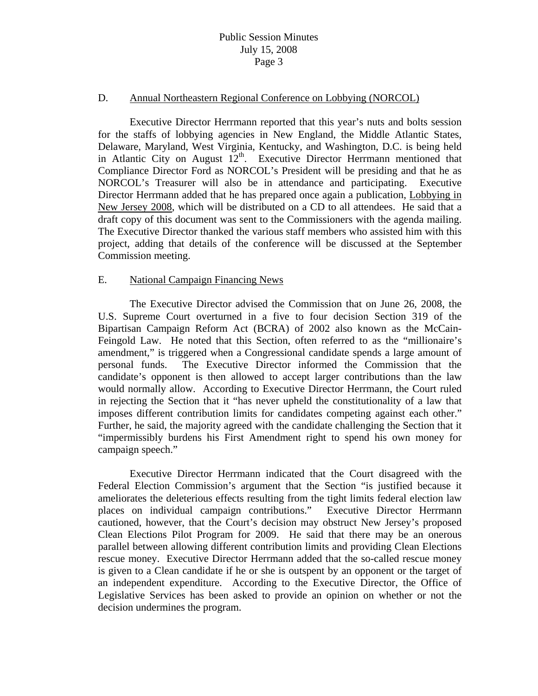#### D. Annual Northeastern Regional Conference on Lobbying (NORCOL)

 Executive Director Herrmann reported that this year's nuts and bolts session for the staffs of lobbying agencies in New England, the Middle Atlantic States, Delaware, Maryland, West Virginia, Kentucky, and Washington, D.C. is being held in Atlantic City on August  $12<sup>th</sup>$ . Executive Director Herrmann mentioned that Compliance Director Ford as NORCOL's President will be presiding and that he as NORCOL's Treasurer will also be in attendance and participating. Executive Director Herrmann added that he has prepared once again a publication, Lobbying in New Jersey 2008, which will be distributed on a CD to all attendees. He said that a draft copy of this document was sent to the Commissioners with the agenda mailing. The Executive Director thanked the various staff members who assisted him with this project, adding that details of the conference will be discussed at the September Commission meeting.

#### E. National Campaign Financing News

 The Executive Director advised the Commission that on June 26, 2008, the U.S. Supreme Court overturned in a five to four decision Section 319 of the Bipartisan Campaign Reform Act (BCRA) of 2002 also known as the McCain-Feingold Law. He noted that this Section, often referred to as the "millionaire's amendment," is triggered when a Congressional candidate spends a large amount of personal funds. The Executive Director informed the Commission that the candidate's opponent is then allowed to accept larger contributions than the law would normally allow. According to Executive Director Herrmann, the Court ruled in rejecting the Section that it "has never upheld the constitutionality of a law that imposes different contribution limits for candidates competing against each other." Further, he said, the majority agreed with the candidate challenging the Section that it "impermissibly burdens his First Amendment right to spend his own money for campaign speech."

 Executive Director Herrmann indicated that the Court disagreed with the Federal Election Commission's argument that the Section "is justified because it ameliorates the deleterious effects resulting from the tight limits federal election law places on individual campaign contributions." Executive Director Herrmann cautioned, however, that the Court's decision may obstruct New Jersey's proposed Clean Elections Pilot Program for 2009. He said that there may be an onerous parallel between allowing different contribution limits and providing Clean Elections rescue money. Executive Director Herrmann added that the so-called rescue money is given to a Clean candidate if he or she is outspent by an opponent or the target of an independent expenditure. According to the Executive Director, the Office of Legislative Services has been asked to provide an opinion on whether or not the decision undermines the program.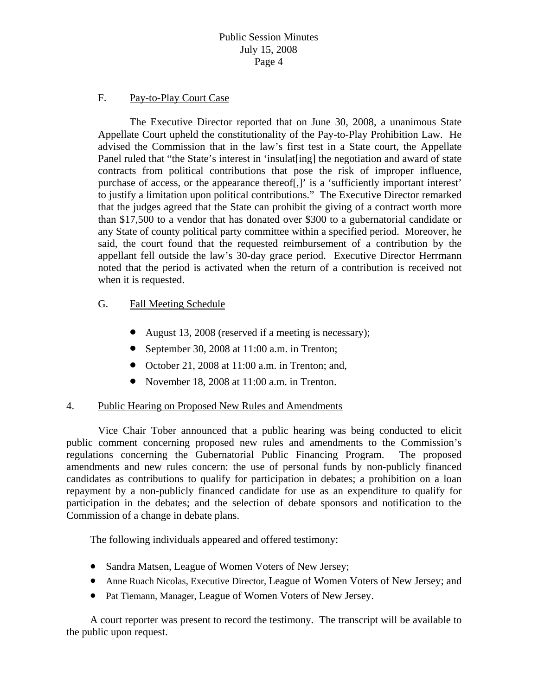## F. Pay-to-Play Court Case

 The Executive Director reported that on June 30, 2008, a unanimous State Appellate Court upheld the constitutionality of the Pay-to-Play Prohibition Law. He advised the Commission that in the law's first test in a State court, the Appellate Panel ruled that "the State's interest in 'insulat[ing] the negotiation and award of state contracts from political contributions that pose the risk of improper influence, purchase of access, or the appearance thereof[,]' is a 'sufficiently important interest' to justify a limitation upon political contributions." The Executive Director remarked that the judges agreed that the State can prohibit the giving of a contract worth more than \$17,500 to a vendor that has donated over \$300 to a gubernatorial candidate or any State of county political party committee within a specified period. Moreover, he said, the court found that the requested reimbursement of a contribution by the appellant fell outside the law's 30-day grace period. Executive Director Herrmann noted that the period is activated when the return of a contribution is received not when it is requested.

## G. Fall Meeting Schedule

- August 13, 2008 (reserved if a meeting is necessary);
- September 30, 2008 at 11:00 a.m. in Trenton;
- October 21, 2008 at 11:00 a.m. in Trenton; and,
- November 18, 2008 at 11:00 a.m. in Trenton.

## 4. Public Hearing on Proposed New Rules and Amendments

 Vice Chair Tober announced that a public hearing was being conducted to elicit public comment concerning proposed new rules and amendments to the Commission's regulations concerning the Gubernatorial Public Financing Program. The proposed amendments and new rules concern: the use of personal funds by non-publicly financed candidates as contributions to qualify for participation in debates; a prohibition on a loan repayment by a non-publicly financed candidate for use as an expenditure to qualify for participation in the debates; and the selection of debate sponsors and notification to the Commission of a change in debate plans.

The following individuals appeared and offered testimony:

- Sandra Matsen, League of Women Voters of New Jersey;
- Anne Ruach Nicolas, Executive Director, League of Women Voters of New Jersey; and
- Pat Tiemann, Manager, League of Women Voters of New Jersey.

 A court reporter was present to record the testimony. The transcript will be available to the public upon request.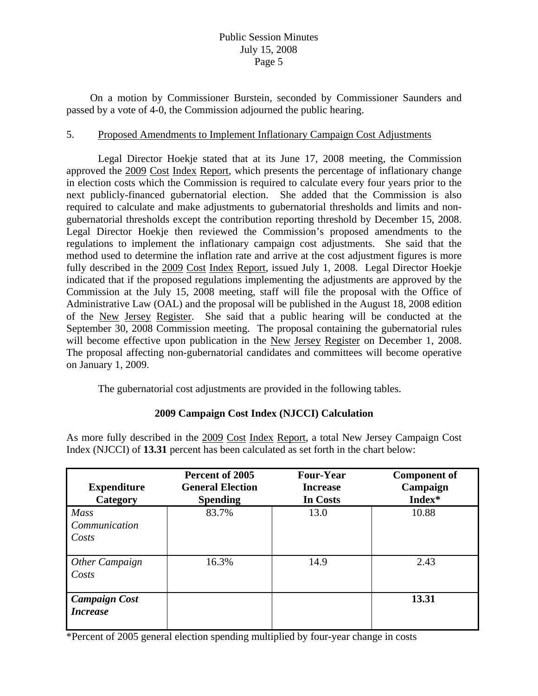On a motion by Commissioner Burstein, seconded by Commissioner Saunders and passed by a vote of 4-0, the Commission adjourned the public hearing.

# 5. Proposed Amendments to Implement Inflationary Campaign Cost Adjustments

 Legal Director Hoekje stated that at its June 17, 2008 meeting, the Commission approved the 2009 Cost Index Report, which presents the percentage of inflationary change in election costs which the Commission is required to calculate every four years prior to the next publicly-financed gubernatorial election. She added that the Commission is also required to calculate and make adjustments to gubernatorial thresholds and limits and nongubernatorial thresholds except the contribution reporting threshold by December 15, 2008. Legal Director Hoekje then reviewed the Commission's proposed amendments to the regulations to implement the inflationary campaign cost adjustments. She said that the method used to determine the inflation rate and arrive at the cost adjustment figures is more fully described in the 2009 Cost Index Report, issued July 1, 2008. Legal Director Hoekje indicated that if the proposed regulations implementing the adjustments are approved by the Commission at the July 15, 2008 meeting, staff will file the proposal with the Office of Administrative Law (OAL) and the proposal will be published in the August 18, 2008 edition of the New Jersey Register. She said that a public hearing will be conducted at the September 30, 2008 Commission meeting. The proposal containing the gubernatorial rules will become effective upon publication in the New Jersey Register on December 1, 2008. The proposal affecting non-gubernatorial candidates and committees will become operative on January 1, 2009.

The gubernatorial cost adjustments are provided in the following tables.

# **2009 Campaign Cost Index (NJCCI) Calculation**

As more fully described in the 2009 Cost Index Report, a total New Jersey Campaign Cost Index (NJCCI) of **13.31** percent has been calculated as set forth in the chart below:

| <b>Expenditure</b><br>Category          | Percent of 2005<br><b>General Election</b><br><b>Spending</b> | <b>Four-Year</b><br><b>Increase</b><br>In Costs | <b>Component of</b><br>Campaign<br>Index* |
|-----------------------------------------|---------------------------------------------------------------|-------------------------------------------------|-------------------------------------------|
| <b>Mass</b><br>Communication<br>Costs   | 83.7%                                                         | 13.0                                            | 10.88                                     |
| Other Campaign<br>Costs                 | 16.3%                                                         | 14.9                                            | 2.43                                      |
| <b>Campaign Cost</b><br><b>Increase</b> |                                                               |                                                 | 13.31                                     |

\*Percent of 2005 general election spending multiplied by four-year change in costs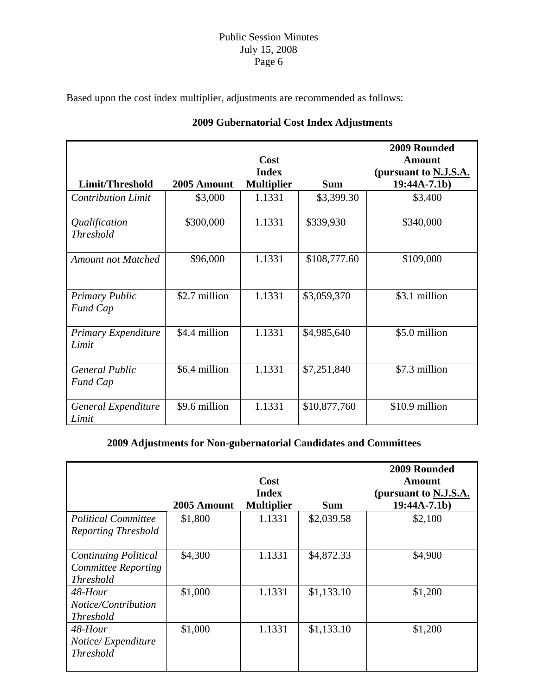Based upon the cost index multiplier, adjustments are recommended as follows:

|                                          |               | Cost<br><b>Index</b> |              | 2009 Rounded<br><b>Amount</b><br>(pursuant to N.J.S.A. |
|------------------------------------------|---------------|----------------------|--------------|--------------------------------------------------------|
| Limit/Threshold                          | 2005 Amount   | <b>Multiplier</b>    | <b>Sum</b>   | $19:44A-7.1b)$                                         |
| <b>Contribution Limit</b>                | \$3,000       | 1.1331               | \$3,399.30   | \$3,400                                                |
| Qualification<br><b>Threshold</b>        | \$300,000     | 1.1331               | \$339,930    | \$340,000                                              |
| <b>Amount not Matched</b>                | \$96,000      | 1.1331               | \$108,777.60 | \$109,000                                              |
| <b>Primary Public</b><br><b>Fund Cap</b> | \$2.7 million | 1.1331               | \$3,059,370  | \$3.1 million                                          |
| Primary Expenditure<br>Limit             | \$4.4 million | 1.1331               | \$4,985,640  | \$5.0 million                                          |
| <b>General Public</b><br><b>Fund Cap</b> | \$6.4 million | 1.1331               | \$7,251,840  | \$7.3 million                                          |
| General Expenditure<br>Limit             | \$9.6 million | 1.1331               | \$10,877,760 | \$10.9 million                                         |

# **2009 Gubernatorial Cost Index Adjustments**

# **2009 Adjustments for Non-gubernatorial Candidates and Committees**

|                                                                               | 2005 Amount | Cost<br><b>Index</b><br><b>Multiplier</b> | <b>Sum</b> | 2009 Rounded<br>Amount<br>(pursuant to N.J.S.A.<br>$19:44A-7.1b)$ |
|-------------------------------------------------------------------------------|-------------|-------------------------------------------|------------|-------------------------------------------------------------------|
| <b>Political Committee</b><br><b>Reporting Threshold</b>                      | \$1,800     | 1.1331                                    | \$2,039.58 | \$2,100                                                           |
| <b>Continuing Political</b><br><b>Committee Reporting</b><br><b>Threshold</b> | \$4,300     | 1.1331                                    | \$4,872.33 | \$4,900                                                           |
| 48-Hour<br>Notice/Contribution<br><i>Threshold</i>                            | \$1,000     | 1.1331                                    | \$1,133.10 | \$1,200                                                           |
| 48-Hour<br>Notice/Expenditure<br><b>Threshold</b>                             | \$1,000     | 1.1331                                    | \$1,133.10 | \$1,200                                                           |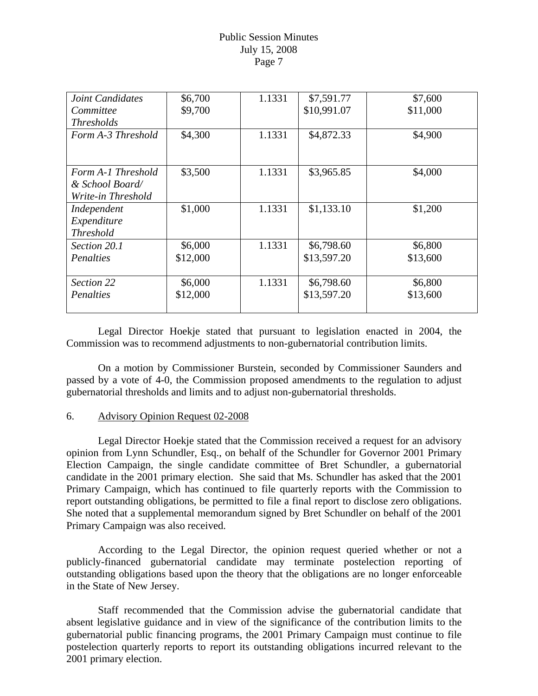| Joint Candidates   | \$6,700  | 1.1331 | \$7,591.77  | \$7,600  |
|--------------------|----------|--------|-------------|----------|
| Committee          | \$9,700  |        | \$10,991.07 | \$11,000 |
| <i>Thresholds</i>  |          |        |             |          |
| Form A-3 Threshold | \$4,300  | 1.1331 | \$4,872.33  | \$4,900  |
|                    |          |        |             |          |
|                    |          |        |             |          |
| Form A-1 Threshold | \$3,500  | 1.1331 | \$3,965.85  | \$4,000  |
| & School Board/    |          |        |             |          |
| Write-in Threshold |          |        |             |          |
| Independent        | \$1,000  | 1.1331 | \$1,133.10  | \$1,200  |
| Expenditure        |          |        |             |          |
| <b>Threshold</b>   |          |        |             |          |
| Section 20.1       | \$6,000  | 1.1331 | \$6,798.60  | \$6,800  |
| Penalties          | \$12,000 |        | \$13,597.20 | \$13,600 |
|                    |          |        |             |          |
| Section 22         | \$6,000  | 1.1331 | \$6,798.60  | \$6,800  |
| Penalties          | \$12,000 |        | \$13,597.20 | \$13,600 |
|                    |          |        |             |          |

 Legal Director Hoekje stated that pursuant to legislation enacted in 2004, the Commission was to recommend adjustments to non-gubernatorial contribution limits.

 On a motion by Commissioner Burstein, seconded by Commissioner Saunders and passed by a vote of 4-0, the Commission proposed amendments to the regulation to adjust gubernatorial thresholds and limits and to adjust non-gubernatorial thresholds.

#### 6. Advisory Opinion Request 02-2008

 Legal Director Hoekje stated that the Commission received a request for an advisory opinion from Lynn Schundler, Esq., on behalf of the Schundler for Governor 2001 Primary Election Campaign, the single candidate committee of Bret Schundler, a gubernatorial candidate in the 2001 primary election. She said that Ms. Schundler has asked that the 2001 Primary Campaign, which has continued to file quarterly reports with the Commission to report outstanding obligations, be permitted to file a final report to disclose zero obligations. She noted that a supplemental memorandum signed by Bret Schundler on behalf of the 2001 Primary Campaign was also received.

 According to the Legal Director, the opinion request queried whether or not a publicly-financed gubernatorial candidate may terminate postelection reporting of outstanding obligations based upon the theory that the obligations are no longer enforceable in the State of New Jersey.

 Staff recommended that the Commission advise the gubernatorial candidate that absent legislative guidance and in view of the significance of the contribution limits to the gubernatorial public financing programs, the 2001 Primary Campaign must continue to file postelection quarterly reports to report its outstanding obligations incurred relevant to the 2001 primary election.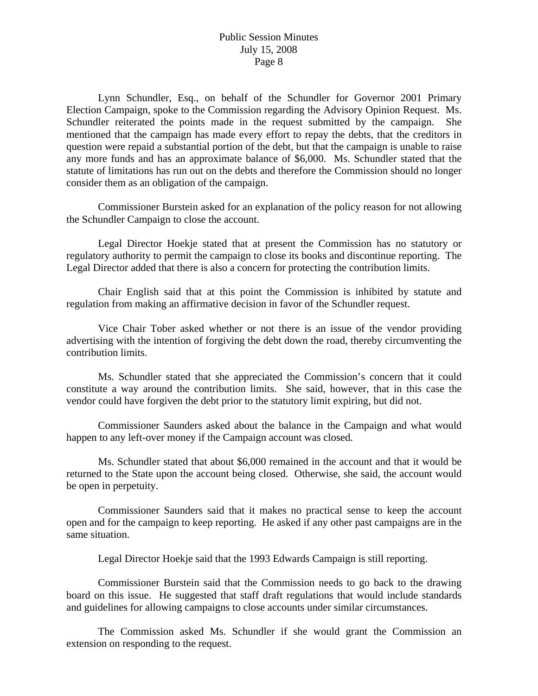Lynn Schundler, Esq., on behalf of the Schundler for Governor 2001 Primary Election Campaign, spoke to the Commission regarding the Advisory Opinion Request. Ms. Schundler reiterated the points made in the request submitted by the campaign. She mentioned that the campaign has made every effort to repay the debts, that the creditors in question were repaid a substantial portion of the debt, but that the campaign is unable to raise any more funds and has an approximate balance of \$6,000. Ms. Schundler stated that the statute of limitations has run out on the debts and therefore the Commission should no longer consider them as an obligation of the campaign.

 Commissioner Burstein asked for an explanation of the policy reason for not allowing the Schundler Campaign to close the account.

 Legal Director Hoekje stated that at present the Commission has no statutory or regulatory authority to permit the campaign to close its books and discontinue reporting. The Legal Director added that there is also a concern for protecting the contribution limits.

 Chair English said that at this point the Commission is inhibited by statute and regulation from making an affirmative decision in favor of the Schundler request.

 Vice Chair Tober asked whether or not there is an issue of the vendor providing advertising with the intention of forgiving the debt down the road, thereby circumventing the contribution limits.

 Ms. Schundler stated that she appreciated the Commission's concern that it could constitute a way around the contribution limits. She said, however, that in this case the vendor could have forgiven the debt prior to the statutory limit expiring, but did not.

 Commissioner Saunders asked about the balance in the Campaign and what would happen to any left-over money if the Campaign account was closed.

 Ms. Schundler stated that about \$6,000 remained in the account and that it would be returned to the State upon the account being closed. Otherwise, she said, the account would be open in perpetuity.

 Commissioner Saunders said that it makes no practical sense to keep the account open and for the campaign to keep reporting. He asked if any other past campaigns are in the same situation.

Legal Director Hoekje said that the 1993 Edwards Campaign is still reporting.

 Commissioner Burstein said that the Commission needs to go back to the drawing board on this issue. He suggested that staff draft regulations that would include standards and guidelines for allowing campaigns to close accounts under similar circumstances.

 The Commission asked Ms. Schundler if she would grant the Commission an extension on responding to the request.